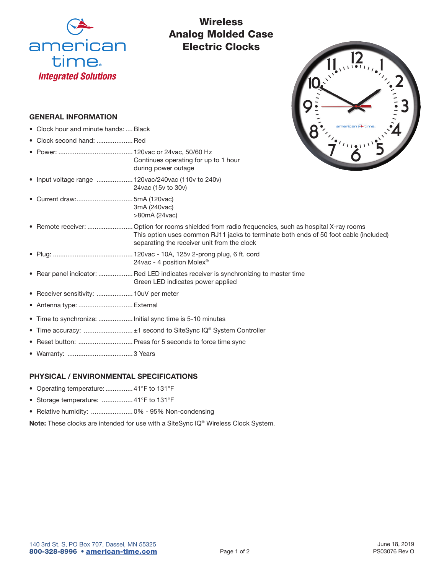

# **Wireless** Analog Molded Case Electric Clocks

## GENERAL INFORMATION

- Clock hour and minute hands: .... Black
- Clock second hand: ....................Red
- Power: ......................................... 120vac or 24vac, 50/60 Hz Continues operating for up to 1 hour during power outage
- Input voltage range .................... 120vac/240vac (110v to 240v) 24vac (15v to 30v)
- Current draw:............................... 5mA (120vac) 3mA (240vac) >80mA (24vac)
- Remote receiver: ......................... Option for rooms shielded from radio frequencies, such as hospital X-ray rooms This option uses common RJ11 jacks to terminate both ends of 50 foot cable (included) separating the receiver unit from the clock
- Plug: ............................................ 120vac 10A, 125v 2-prong plug, 6 ft. cord 24vac - 4 position Molex®
- Rear panel indicator: ...................Red LED indicates receiver is synchronizing to master time Green LED indicates power applied
- Receiver sensitivity: .................... 10uV per meter
- Antenna type: .............................. External
- Time to synchronize: ................... Initial sync time is 5-10 minutes
- Time accuracy: ........................... ±1 second to SiteSync IQ® System Controller
- Reset button: ..............................Press for 5 seconds to force time sync
- Warranty: .................................... 3 Years

## PHYSICAL / ENVIRONMENTAL SPECIFICATIONS

- Operating temperature: ............... 41°F to 131°F
- Storage temperature: ................. 41°F to 131°F
- Relative humidity: ....................... 0% 95% Non-condensing

Note: These clocks are intended for use with a SiteSync IQ® Wireless Clock System.